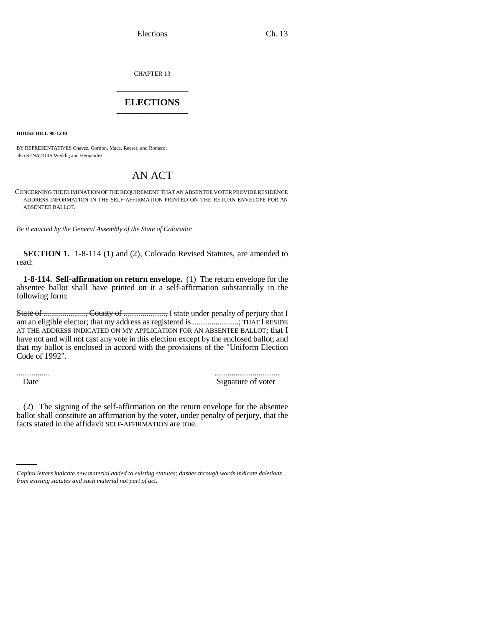Elections Ch. 13

CHAPTER 13 \_\_\_\_\_\_\_\_\_\_\_\_\_\_\_

## **ELECTIONS** \_\_\_\_\_\_\_\_\_\_\_\_\_\_\_

**HOUSE BILL 98-1230**

BY REPRESENTATIVES Chavez, Gordon, Mace, Reeser, and Romero; also SENATORS Weddig and Hernandez.

## AN ACT

CONCERNING THE ELIMINATION OF THE REQUIREMENT THAT AN ABSENTEE VOTER PROVIDE RESIDENCE ADDRESS INFORMATION IN THE SELF-AFFIRMATION PRINTED ON THE RETURN ENVELOPE FOR AN ABSENTEE BALLOT.

*Be it enacted by the General Assembly of the State of Colorado:*

**SECTION 1.** 1-8-114 (1) and (2), Colorado Revised Statutes, are amended to read:

**1-8-114. Self-affirmation on return envelope.** (1) The return envelope for the absentee ballot shall have printed on it a self-affirmation substantially in the following form:

State of ...................., County of ...................., I state under penalty of perjury that I am an eligible elector; that my address as registered is .....................; THAT I RESIDE AT THE ADDRESS INDICATED ON MY APPLICATION FOR AN ABSENTEE BALLOT; that I have not and will not cast any vote in this election except by the enclosed ballot; and that my ballot is enclosed in accord with the provisions of the "Uniform Election Code of 1992".

................ ............................... Date Signature of voter

facts stated in the affidavit SELF-AFFIRMATION are true. (2) The signing of the self-affirmation on the return envelope for the absentee ballot shall constitute an affirmation by the voter, under penalty of perjury, that the

*Capital letters indicate new material added to existing statutes; dashes through words indicate deletions from existing statutes and such material not part of act.*